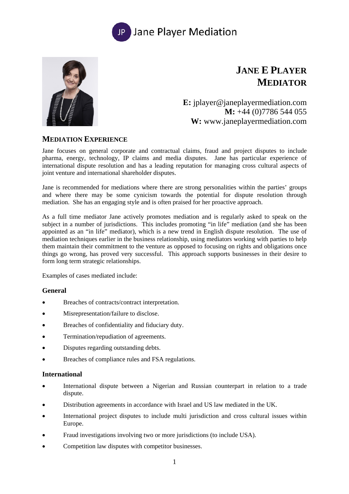



# **JANE E PLAYER MEDIATOR**

**E:** jplayer@janeplayermediation.com **M:** +44 (0)7786 544 055 **W:** www.janeplayermediation.com

# **MEDIATION EXPERIENCE**

Jane focuses on general corporate and contractual claims, fraud and project disputes to include pharma, energy, technology, IP claims and media disputes. Jane has particular experience of international dispute resolution and has a leading reputation for managing cross cultural aspects of joint venture and international shareholder disputes.

Jane is recommended for mediations where there are strong personalities within the parties' groups and where there may be some cynicism towards the potential for dispute resolution through mediation. She has an engaging style and is often praised for her proactive approach.

As a full time mediator Jane actively promotes mediation and is regularly asked to speak on the subject in a number of jurisdictions. This includes promoting "in life" mediation (and she has been appointed as an "in life" mediator), which is a new trend in English dispute resolution. The use of mediation techniques earlier in the business relationship, using mediators working with parties to help them maintain their commitment to the venture as opposed to focusing on rights and obligations once things go wrong, has proved very successful. This approach supports businesses in their desire to form long term strategic relationships.

Examples of cases mediated include:

## **General**

- Breaches of contracts/contract interpretation.
- Misrepresentation/failure to disclose.
- Breaches of confidentiality and fiduciary duty.
- Termination/repudiation of agreements.
- Disputes regarding outstanding debts.
- Breaches of compliance rules and FSA regulations.

#### **International**

- International dispute between a Nigerian and Russian counterpart in relation to a trade dispute.
- Distribution agreements in accordance with Israel and US law mediated in the UK.
- International project disputes to include multi jurisdiction and cross cultural issues within Europe.
- Fraud investigations involving two or more jurisdictions (to include USA).
- Competition law disputes with competitor businesses.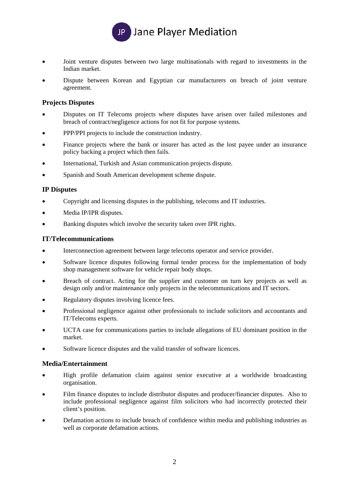

- Joint venture disputes between two large multinationals with regard to investments in the Indian market.
- Dispute between Korean and Egyptian car manufacturers on breach of joint venture agreement.

## **Projects Disputes**

- Disputes on IT Telecoms projects where disputes have arisen over failed milestones and breach of contract/negligence actions for not fit for purpose systems.
- PPP/PPI projects to include the construction industry.
- Finance projects where the bank or insurer has acted as the lost payee under an insurance policy backing a project which then fails.
- International, Turkish and Asian communication projects dispute.
- Spanish and South American development scheme dispute.

## **IP Disputes**

- Copyright and licensing disputes in the publishing, telecoms and IT industries.
- Media IP/IPR disputes.
- Banking disputes which involve the security taken over IPR rights.

#### **IT/Telecommunications**

- Interconnection agreement between large telecoms operator and service provider.
- Software licence disputes following formal tender process for the implementation of body shop management software for vehicle repair body shops.
- Breach of contract. Acting for the supplier and customer on turn key projects as well as design only and/or maintenance only projects in the telecommunications and IT sectors.
- Regulatory disputes involving licence fees.
- Professional negligence against other professionals to include solicitors and accountants and IT/Telecoms experts.
- UCTA case for communications parties to include allegations of EU dominant position in the market.
- Software licence disputes and the valid transfer of software licences.

## **Media/Entertainment**

- High profile defamation claim against senior executive at a worldwide broadcasting organisation.
- Film finance disputes to include distributor disputes and producer/financier disputes. Also to include professional negligence against film solicitors who had incorrectly protected their client's position.
- Defamation actions to include breach of confidence within media and publishing industries as well as corporate defamation actions.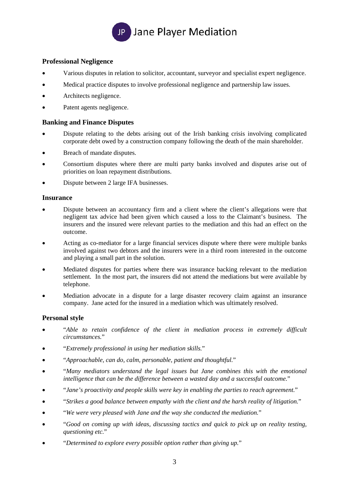

### **Professional Negligence**

- Various disputes in relation to solicitor, accountant, surveyor and specialist expert negligence.
- Medical practice disputes to involve professional negligence and partnership law issues.
- Architects negligence.
- Patent agents negligence.

#### **Banking and Finance Disputes**

- Dispute relating to the debts arising out of the Irish banking crisis involving complicated corporate debt owed by a construction company following the death of the main shareholder.
- Breach of mandate disputes.
- Consortium disputes where there are multi party banks involved and disputes arise out of priorities on loan repayment distributions.
- Dispute between 2 large IFA businesses.

#### **Insurance**

- Dispute between an accountancy firm and a client where the client's allegations were that negligent tax advice had been given which caused a loss to the Claimant's business. The insurers and the insured were relevant parties to the mediation and this had an effect on the outcome.
- Acting as co-mediator for a large financial services dispute where there were multiple banks involved against two debtors and the insurers were in a third room interested in the outcome and playing a small part in the solution.
- Mediated disputes for parties where there was insurance backing relevant to the mediation settlement. In the most part, the insurers did not attend the mediations but were available by telephone.
- Mediation advocate in a dispute for a large disaster recovery claim against an insurance company. Jane acted for the insured in a mediation which was ultimately resolved.

#### **Personal style**

- "*Able to retain confidence of the client in mediation process in extremely difficult circumstances.*"
- "*Extremely professional in using her mediation skills.*"
- "*Approachable, can do, calm, personable, patient and thoughtful.*"
- "*Many mediators understand the legal issues but Jane combines this with the emotional intelligence that can be the difference between a wasted day and a successful outcome.*"
- "*Jane's proactivity and people skills were key in enabling the parties to reach agreement.*"
- "*Strikes a good balance between empathy with the client and the harsh reality of litigation.*"
- "*We were very pleased with Jane and the way she conducted the mediation.*"
- "*Good on coming up with ideas, discussing tactics and quick to pick up on reality testing, questioning etc.*"
- "*Determined to explore every possible option rather than giving up.*"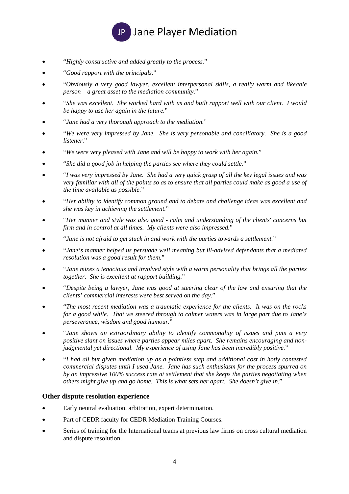

- "*Highly constructive and added greatly to the process.*"
- "*Good rapport with the principals.*"
- "*Obviously a very good lawyer, excellent interpersonal skills, a really warm and likeable person – a great asset to the mediation community.*"
- "*She was excellent. She worked hard with us and built rapport well with our client. I would be happy to use her again in the future.*"
- "*Jane had a very thorough approach to the mediation.*"
- "*We were very impressed by Jane. She is very personable and conciliatory. She is a good listener.*"
- "*We were very pleased with Jane and will be happy to work with her again.*"
- "*She did a good job in helping the parties see where they could settle.*"
- "*I was very impressed by Jane. She had a very quick grasp of all the key legal issues and was very familiar with all of the points so as to ensure that all parties could make as good a use of the time available as possible.*"
- "*Her ability to identify common ground and to debate and challenge ideas was excellent and she was key in achieving the settlement.*"
- "*Her manner and style was also good calm and understanding of the clients' concerns but firm and in control at all times. My clients were also impressed.*"
- "*Jane is not afraid to get stuck in and work with the parties towards a settlement.*"
- "*Jane's manner helped us persuade well meaning but ill-advised defendants that a mediated resolution was a good result for them.*"
- "*Jane mixes a tenacious and involved style with a warm personality that brings all the parties together. She is excellent at rapport building.*"
- "*Despite being a lawyer, Jane was good at steering clear of the law and ensuring that the clients' commercial interests were best served on the day.*"
- "*The most recent mediation was a traumatic experience for the clients. It was on the rocks for a good while. That we steered through to calmer waters was in large part due to Jane's perseverance, wisdom and good humour.*"
- "*Jane shows an extraordinary ability to identify commonality of issues and puts a very positive slant on issues where parties appear miles apart. She remains encouraging and nonjudgmental yet directional. My experience of using Jane has been incredibly positive.*"
- "*I had all but given mediation up as a pointless step and additional cost in hotly contested commercial disputes until I used Jane. Jane has such enthusiasm for the process spurred on by an impressive 100% success rate at settlement that she keeps the parties negotiating when others might give up and go home. This is what sets her apart. She doesn't give in.*"

## **Other dispute resolution experience**

- Early neutral evaluation, arbitration, expert determination.
- Part of CEDR faculty for CEDR Mediation Training Courses.
- Series of training for the International teams at previous law firms on cross cultural mediation and dispute resolution.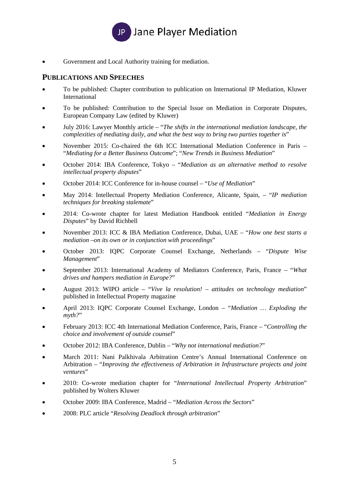

Government and Local Authority training for mediation.

# **PUBLICATIONS AND SPEECHES**

- To be published: Chapter contribution to publication on International IP Mediation, Kluwer International
- To be published: Contribution to the Special Issue on Mediation in Corporate Disputes, European Company Law (edited by Kluwer)
- July 2016: Lawyer Monthly article "*The shifts in the international mediation landscape, the complexities of mediating daily, and what the best way to bring two parties together is*"
- November 2015: Co-chaired the 6th ICC International Mediation Conference in Paris "*Mediating for a Better Business Outcome*"; "*New Trends in Business Mediation*"
- October 2014: IBA Conference, Tokyo "*Mediation as an alternative method to resolve intellectual property disputes*"
- October 2014: ICC Conference for in-house counsel "*Use of Mediation*"
- May 2014: Intellectual Property Mediation Conference, Alicante, Spain, "*IP mediation techniques for breaking stalemate*"
- 2014: Co-wrote chapter for latest Mediation Handbook entitled "*Mediation in Energy Disputes*" by David Richbell
- November 2013: ICC & IBA Mediation Conference, Dubai, UAE "*How one best starts a mediation –on its own or in conjunction with proceedings*"
- October 2013: IQPC Corporate Counsel Exchange, Netherlands "*Dispute Wise Management*"
- September 2013: International Academy of Mediators Conference, Paris, France "*What drives and hampers mediation in Europe?*"
- August 2013: WIPO article "*Vive la resolution! attitudes on technology mediation*" published in Intellectual Property magazine
- April 2013: IQPC Corporate Counsel Exchange, London "*Mediation … Exploding the myth?*"
- February 2013: ICC 4th International Mediation Conference, Paris, France "*Controlling the choice and involvement of outside counsel*"
- October 2012: IBA Conference, Dublin "*Why not international mediation?*"
- March 2011: Nani Palkhivala Arbitration Centre's Annual International Conference on Arbitration – "*Improving the effectiveness of Arbitration in Infrastructure projects and joint ventures*"
- 2010: Co-wrote mediation chapter for "*International Intellectual Property Arbitration*" published by Wolters Kluwer
- October 2009: IBA Conference, Madrid "*Mediation Across the Sectors*"
- 2008: PLC article "*Resolving Deadlock through arbitration*"